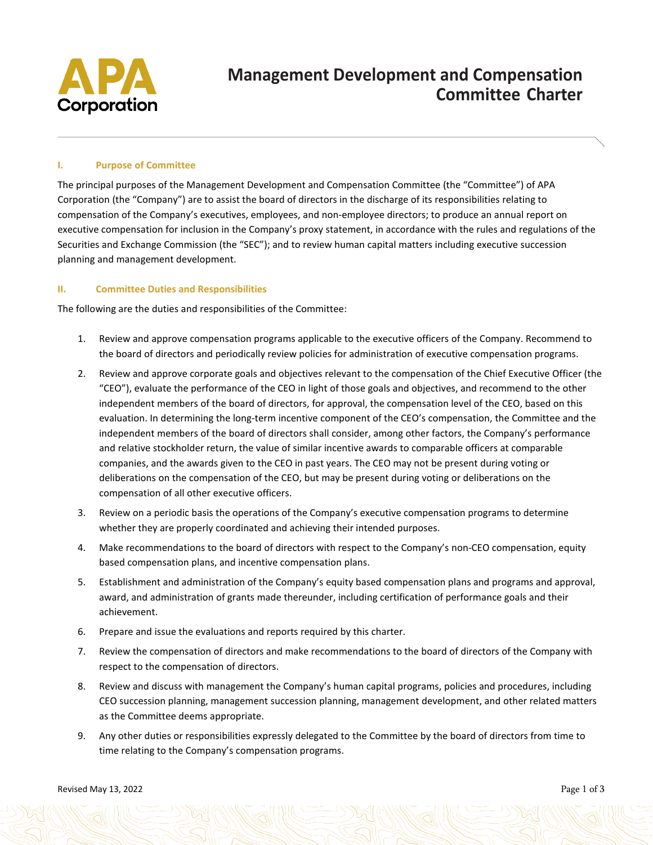

# **Management Development and Compensation Committee Charter**

## **I. Purpose of Committee**

The principal purposes of the Management Development and Compensation Committee (the "Committee") of APA Corporation (the "Company") are to assist the board of directors in the discharge of its responsibilities relating to compensation of the Company's executives, employees, and non-employee directors; to produce an annual report on executive compensation for inclusion in the Company's proxy statement, in accordance with the rules and regulations of the Securities and Exchange Commission (the "SEC"); and to review human capital matters including executive succession planning and management development.

## **II. Committee Duties and Responsibilities**

The following are the duties and responsibilities of the Committee:

- 1. Review and approve compensation programs applicable to the executive officers of the Company. Recommend to the board of directors and periodically review policies for administration of executive compensation programs.
- 2. Review and approve corporate goals and objectives relevant to the compensation of the Chief Executive Officer (the "CEO"), evaluate the performance of the CEO in light of those goals and objectives, and recommend to the other independent members of the board of directors, for approval, the compensation level of the CEO, based on this evaluation. In determining the long-term incentive component of the CEO's compensation, the Committee and the independent members of the board of directors shall consider, among other factors, the Company's performance and relative stockholder return, the value of similar incentive awards to comparable officers at comparable companies, and the awards given to the CEO in past years. The CEO may not be present during voting or deliberations on the compensation of the CEO, but may be present during voting or deliberations on the compensation of all other executive officers.
- 3. Review on a periodic basis the operations of the Company's executive compensation programs to determine whether they are properly coordinated and achieving their intended purposes.
- 4. Make recommendations to the board of directors with respect to the Company's non-CEO compensation, equity based compensation plans, and incentive compensation plans.
- 5. Establishment and administration of the Company's equity based compensation plans and programs and approval, award, and administration of grants made thereunder, including certification of performance goals and their achievement.
- 6. Prepare and issue the evaluations and reports required by this charter.
- 7. Review the compensation of directors and make recommendations to the board of directors of the Company with respect to the compensation of directors.
- 8. Review and discuss with management the Company's human capital programs, policies and procedures, including CEO succession planning, management succession planning, management development, and other related matters as the Committee deems appropriate.
- 9. Any other duties or responsibilities expressly delegated to the Committee by the board of directors from time to time relating to the Company's compensation programs.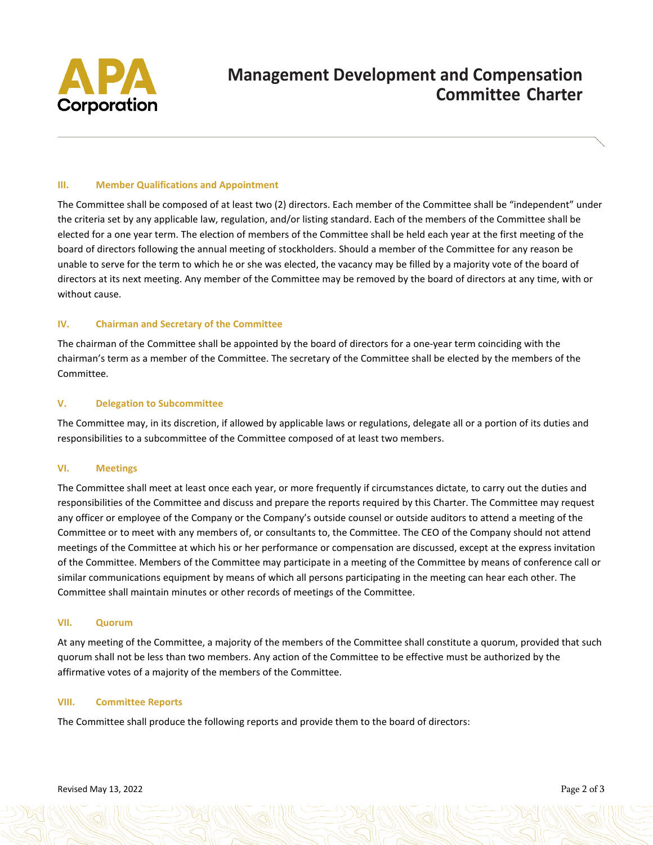

# **Management Development and Compensation Committee Charter**

## **III. Member Qualifications and Appointment**

The Committee shall be composed of at least two (2) directors. Each member of the Committee shall be "independent" under the criteria set by any applicable law, regulation, and/or listing standard. Each of the members of the Committee shall be elected for a one year term. The election of members of the Committee shall be held each year at the first meeting of the board of directors following the annual meeting of stockholders. Should a member of the Committee for any reason be unable to serve for the term to which he or she was elected, the vacancy may be filled by a majority vote of the board of directors at its next meeting. Any member of the Committee may be removed by the board of directors at any time, with or without cause.

### **IV. Chairman and Secretary of the Committee**

The chairman of the Committee shall be appointed by the board of directors for a one-year term coinciding with the chairman's term as a member of the Committee. The secretary of the Committee shall be elected by the members of the Committee.

### **V. Delegation to Subcommittee**

The Committee may, in its discretion, if allowed by applicable laws or regulations, delegate all or a portion of its duties and responsibilities to a subcommittee of the Committee composed of at least two members.

#### **VI. Meetings**

The Committee shall meet at least once each year, or more frequently if circumstances dictate, to carry out the duties and responsibilities of the Committee and discuss and prepare the reports required by this Charter. The Committee may request any officer or employee of the Company or the Company's outside counsel or outside auditors to attend a meeting of the Committee or to meet with any members of, or consultants to, the Committee. The CEO of the Company should not attend meetings of the Committee at which his or her performance or compensation are discussed, except at the express invitation of the Committee. Members of the Committee may participate in a meeting of the Committee by means of conference call or similar communications equipment by means of which all persons participating in the meeting can hear each other. The Committee shall maintain minutes or other records of meetings of the Committee.

#### **VII. Quorum**

At any meeting of the Committee, a majority of the members of the Committee shall constitute a quorum, provided that such quorum shall not be less than two members. Any action of the Committee to be effective must be authorized by the affirmative votes of a majority of the members of the Committee.

## **VIII. Committee Reports**

The Committee shall produce the following reports and provide them to the board of directors: